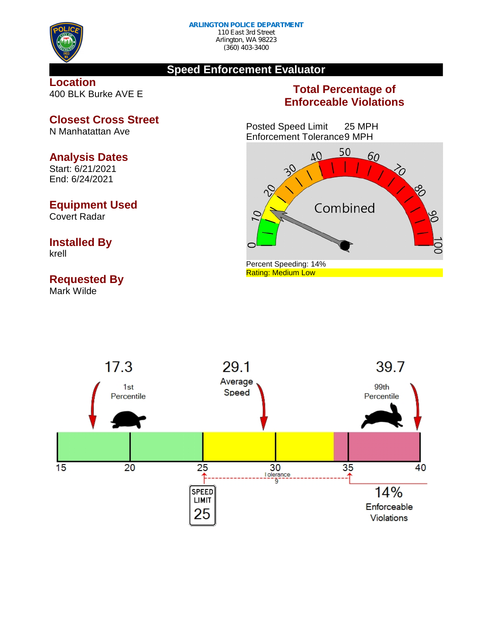

#### **Speed Enforcement Evaluator**

#### **Location** 400 BLK Burke AVE E

### **Total Percentage of Enforceable Violations**

Posted Speed Limit 25 MPH Enforcement Tolerance9 MPH





**Closest Cross Street**

N Manhatattan Ave

#### **Analysis Dates**

Start: 6/21/2021 End: 6/24/2021

#### **Equipment Used**

Covert Radar

# **Installed By**

krell

## **Requested By**

Mark Wilde